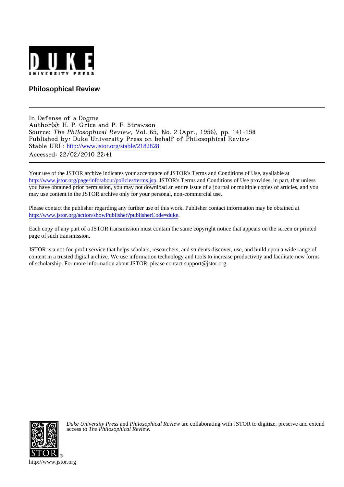

## **Philosophical Review**

In Defense of a Dogma Author(s): H. P. Grice and P. F. Strawson Source: The Philosophical Review, Vol. 65, No. 2 (Apr., 1956), pp. 141-158 Published by: Duke University Press on behalf of Philosophical Review Stable URL: [http://www.jstor.org/stable/2182828](http://www.jstor.org/stable/2182828?origin=JSTOR-pdf) Accessed: 22/02/2010 22:41

Your use of the JSTOR archive indicates your acceptance of JSTOR's Terms and Conditions of Use, available at <http://www.jstor.org/page/info/about/policies/terms.jsp>. JSTOR's Terms and Conditions of Use provides, in part, that unless you have obtained prior permission, you may not download an entire issue of a journal or multiple copies of articles, and you may use content in the JSTOR archive only for your personal, non-commercial use.

Please contact the publisher regarding any further use of this work. Publisher contact information may be obtained at <http://www.jstor.org/action/showPublisher?publisherCode=duke>.

Each copy of any part of a JSTOR transmission must contain the same copyright notice that appears on the screen or printed page of such transmission.

JSTOR is a not-for-profit service that helps scholars, researchers, and students discover, use, and build upon a wide range of content in a trusted digital archive. We use information technology and tools to increase productivity and facilitate new forms of scholarship. For more information about JSTOR, please contact support@jstor.org.



*Duke University Press* and *Philosophical Review* are collaborating with JSTOR to digitize, preserve and extend access to *The Philosophical Review.*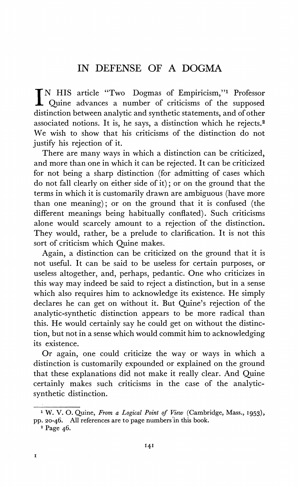## **IN DEFENSE OF A DOGMA**

**TN HIS article "Two Dogmas of Empiricism,"' Professor [Quine advances a number of criticisms of the supposed distinction between analytic and synthetic statements, and of other associated notions. It is, he says, a distinction which he rejects.2 We wish to show that his criticisms of the distinction do not justify his rejection of it.** 

**There are many ways in which a distinction can be criticized, and more than one in which it can be rejected. It can be criticized for not being a sharp distinction (for admitting of cases which do not fall clearly on either side of it); or on the ground that the terms in which it is customarily drawn are ambiguous (have more than one meaning); or on the ground that it is confused (the different meanings being habitually conflated). Such criticisms alone would scarcely amount to a rejection of the distinction. They would, rather, be a prelude to clarification. It is not this sort of criticism which Quine makes.** 

**Again, a distinction can be criticized on the ground that it is not useful. It can be said to be useless for certain purposes, or useless altogether, and, perhaps, pedantic. One who criticizes in this way may indeed be said to reject a distinction, but in a sense which also requires him to acknowledge its existence. He simply declares he can get on without it. But Quine's rejection of the analytic-synthetic distinction appears to be more radical than this. He would certainly say he could get on without the distinction, but not in a sense which would commit him to acknowledging its existence.** 

**Or again, one could criticize the way or ways in which a distinction is customarily expounded or explained on the ground that these explanations did not make it really clear. And Quine certainly makes such criticisms in the case of the analyticsynthetic distinction.** 

**<sup>1</sup>W. V. 0. Quine, From a Logical Point qf View (Cambridge, Mass., I953), pp. 20-46. All references are to page numbers in this book.** 

**<sup>2</sup>Page 46.**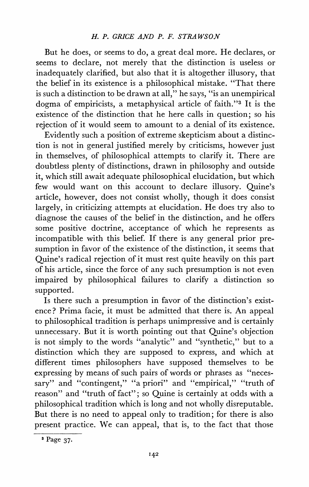But he does, or seems to do, a great deal more. He declares, or seems to declare, not merely that the distinction is useless or inadequately clarified, but also that it is altogether illusory, that the belief in its existence is a philosophical mistake. "That there is such a distinction to be drawn at all," he says, "is an unempirical dogma of empiricists, a metaphysical article of faith."<sup>3</sup> It is the existence of the distinction that he here calls in question: so his rejection of it would seem to amount to a denial of its existence.

Evidently such a position of extreme skepticism about a distinction is not in general justified merely by criticisms, however just in themselves, of philosophical attempts to clarify it. There are doubtless plenty of distinctions, drawn in philosophy and outside it, which still await adequate philosophical elucidation, but which few would want on this account to declare illusory. Ouine's article, however, does not consist wholly, though it does consist largely, in criticizing attempts at elucidation. He does try also to diagnose the causes of the belief in the distinction, and he offers some positive doctrine, acceptance of which he represents as incompatible with this belief. If there is any general prior presumption in favor of the existence of the distinction, it seems that **Ouine's radical rejection of it must rest quite heavily on this part** of his article, since the force of any such presumption is not even **supported.**  paircu by pimosophical ianuites to clarify a distinction se supported.<br>Is there such a presumption in favor of the distinction's exist-

ence? Prima facie, it must be admitted that there is. An appeal to philosophical tradition is perhaps unimpressive and is certainly unnecessary. But it is worth pointing out that Quine's objection is not simply to the words "analytic" and "synthetic," but to a distinction which they are supposed to express, and which at different times philosophers have supposed themselves to be expressing by means of such pairs of words or phrases as "necessary" and "contingent," "a priori" and "empirical," "truth of reason" and "truth of fact"; so Quine is certainly at odds with a philosophical tradition which is long and not wholly disreputable. But there is no need to appeal only to tradition; for there is also **present practice. We can appeal, that is, to the fact that those** 

<sup>&</sup>lt;sup>3</sup> Page 37.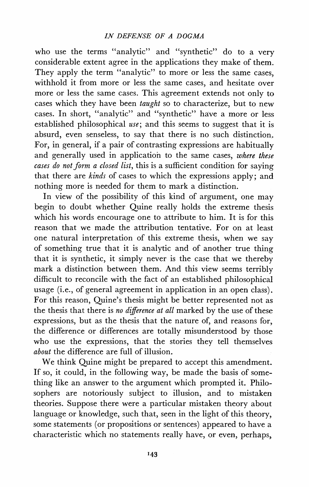who use the terms "analytic" and "synthetic" do to a very considerable extent agree in the applications they make of them. They apply the term "analytic" to more or less the same cases, withhold it from more or less the same cases, and hesitate over more or less the same cases. This agreement extends not only to cases which they have been *taught* so to characterize, but to new cases. In short, "analytic" and "synthetic" have a more or less established philosophical use; and this seems to suggest that it is absurd, even senseless, to say that there is no such distinction. For, in general, if a pair of contrasting expressions are habitually and generally used in application to the same cases, where these cases do not form a closed list, this is a sufficient condition for saying that there are *kinds* of cases to which the expressions apply; and nothing more is needed for them to mark a distinction.

In view of the possibility of this kind of argument, one may begin to doubt whether Quine really holds the extreme thesis which his words encourage one to attribute to him. It is for this reason that we made the attribution tentative. For on at least one natural interpretation of this extreme thesis, when we say of something true that it is analytic and of another true thing that it is synthetic, it simply never is the case that we thereby mark a distinction between them. And this view seems terribly difficult to reconcile with the fact of an established philosophical usage (i.e., of general agreement in application in an open class). For this reason, Ouine's thesis might be better represented not as the thesis that there is *no difference at all* marked by the use of these expressions, but as the thesis that the nature of, and reasons for. the difference or differences are totally misunderstood by those who use the expressions, that the stories they tell themselves *about* the difference are full of illusion.

We think Quine might be prepared to accept this amendment. If so, it could, in the following way, be made the basis of something like an answer to the argument which prompted it. Philosophers are notoriously subject to illusion, and to mistaken theories. Suppose there were a particular mistaken theory about language or knowledge, such that, seen in the light of this theory, some statements (or propositions or sentences) appeared to have a characteristic which no statements really have, or even, perhaps,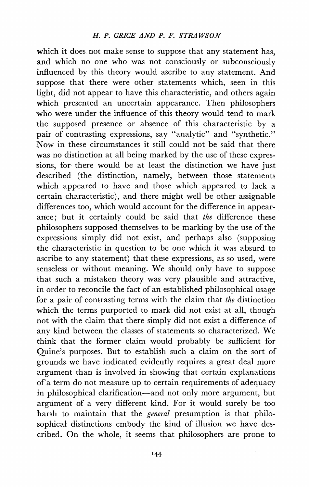which it does not make sense to suppose that any statement has, and which no one who was not consciously or subconsciously influenced by this theory would ascribe to any statement. And suppose that there were other statements which, seen in this light, did not appear to have this characteristic, and others again which presented an uncertain appearance. Then philosophers who were under the influence of this theory would tend to mark the supposed presence or absence of this characteristic by a pair of contrasting expressions, say "analytic" and "synthetic." Now in these circumstances it still could not be said that there was no distinction at all being marked by the use of these expressions, for there would be at least the distinction we have just described (the distinction, namely, between those statements which appeared to have and those which appeared to lack a certain characteristic), and there might well be other assignable differences too, which would account for the difference in appearance; but it certainly could be said that the difference these **expanding by the use of the philosophers supposed themselves to be marking by the use of the** expressions simply did not exist, and perhaps also (supposing the characteristic in question to be one which it was absurd to ascribe to any statement) that these expressions, as so used, were senseless or without meaning. We should only have to suppose that such a mistaken theory was very plausible and attractive, in order to reconcile the fact of an established philosophical usage for a pair of contrasting terms with the claim that the distinction which the terms purported to mark did not exist at all, though not with the claim that there simply did not exist a difference of any kind between the classes of statements so characterized. We think that the former claim would probably be sufficient for Quine's purposes. But to establish such a claim on the sort of grounds we have indicated evidently requires a great deal more argument than is involved in showing that certain explanations of a term do not measure up to certain requirements of adequacy in philosophical clarification—and not only more argument, but argument of a very different kind. For it would surely be too harsh to maintain that the *general* presumption is that philosophical distinctions embody the kind of illusion we have described. On the whole, it seems that philosophers are prone to

144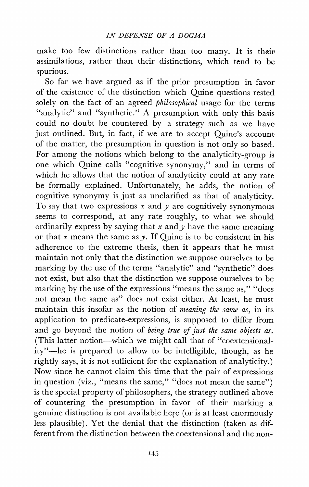make too few distinctions rather than too many. It is their **spurious.**  *Solutions*, faince than their thometions, which tend to be spurious.<br>So far we have argued as if the prior presumption in favor

of the existence of the distinction which Quine questions rested solely on the fact of an agreed *philosophical* usage for the terms "analytic" and "synthetic." A presumption with only this basis could no doubt be countered by a strategy such as we have just outlined. But, in fact, if we are to accept Ouine's account of the matter, the presumption in question is not only so based. For among the notions which belong to the analyticity-group is one which Quine calls "cognitive synonymy," and in terms of which he allows that the notion of analyticity could at any rate be formally explained. Unfortunately, he adds, the notion of cognitive synonymy is just as unclarified as that of analyticity. To say that two expressions  $x$  and  $y$  are cognitively synonymous seems to correspond, at any rate roughly, to what we should ordinarily express by saying that  $x$  and  $y$  have the same meaning or that  $x$  means the same as  $y$ . If Quine is to be consistent in his adherence to the extreme thesis, then it appears that he must maintain not only that the distinction we suppose ourselves to be marking by the use of the terms "analytic" and "synthetic" does not exist, but also that the distinction we suppose ourselves to be marking by the use of the expressions "means the same as," "does not mean the same as" does not exist either. At least, he must maintain this insofar as the notion of *meaning the same as*, in its application to predicate-expressions, is supposed to differ from and go beyond the notion of *being true of just the same objects as*. (This latter notion—which we might call that of "coextensionality"—he is prepared to allow to be intelligible, though, as he rightly says, it is not sufficient for the explanation of analyticity.) Now since he cannot claim this time that the pair of expressions in question (viz., "means the same," "does not mean the same") is the special property of philosophers, the strategy outlined above of countering the presumption in favor of their marking a genuine distinction is not available here (or is at least enormously less plausible). Yet the denial that the distinction (taken as different from the distinction between the coextensional and the non-

145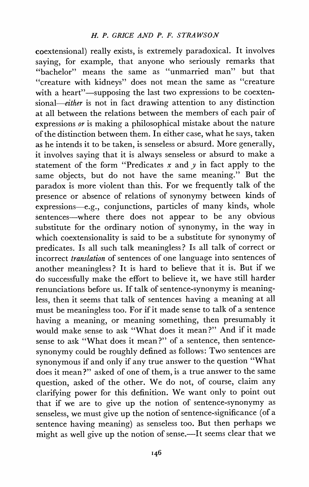coextensional) really exists, is extremely paradoxical. It involves saying, for example, that anyone who seriously remarks that "bachelor" means the same as "unmarried man" but that "creature with kidneys" does not mean the same as "creature" with a heart"-supposing the last two expressions to be coextensional—either is not in fact drawing attention to any distinction at all between the relations between the members of each pair of expressions *or* is making a philosophical mistake about the nature of the distinction between them. In either case, what he says, taken as he intends it to be taken, is senseless or absurd. More generally, it involves saying that it is always senseless or absurd to make a statement of the form "Predicates  $x$  and  $y$  in fact apply to the same objects, but do not have the same meaning." But the paradox is more violent than this. For we frequently talk of the **expressions** of relations of synonymy between kinds of expressions-e.g., conjunctions, particles of many kinds, whole sentences—where there does not appear to be any obvious substitute for the ordinary notion of synonymy, in the way in which coextensionality is said to be a substitute for synonymy of predicates. Is all such talk meaningless? Is all talk of correct or incorrect *translation* of sentences of one language into sentences of another meaningless? It is hard to believe that it is. But if we do successfully make the effort to believe it, we have still harder renunciations before us. If talk of sentence-synonymy is meaningless, then it seems that talk of sentences having a meaning at all must be meaningless too. For if it made sense to talk of a sentence having a meaning, or meaning something, then presumably it would make sense to ask "What does it mean?" And if it made sense to ask "What does it mean?" of a sentence, then sentencesynonymy could be roughly defined as follows: Two sentences are synonymous if and only if any true answer to the question "What does it mean?" asked of one of them, is a true answer to the same question, asked of the other. We do not, of course, claim any clarifying power for this definition. We want only to point out that if we are to give up the notion of sentence-synonymy as senseless, we must give up the notion of sentence-significance (of a sentence having meaning) as senseless too. But then perhaps we might as well give up the notion of sense.-- It seems clear that we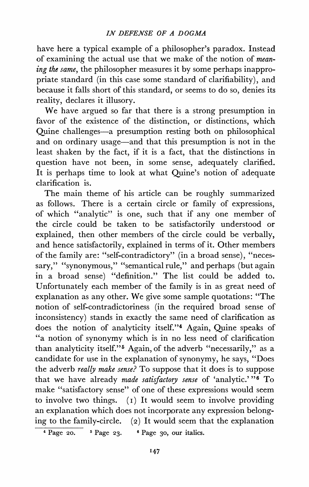have here a typical example of a philosopher's paradox. Instead of examining the actual use that we make of the notion of *mean*ing the same, the philosopher measures it by some perhaps inappropriate standard (in this case some standard of clarifiability), and prince standard (in this cas value it has short or this standard, or seems to do so, defines its a strong presumption in  $\frac{1}{n}$ favor of the exist in the exists of the distinction in We have argued so far that there is a strong presumption in

favor of the existence of the distinction, or distinctions, which Quine challenges-a presumption resting both on philosophical and on ordinary usage—and that this presumption is not in the least shaken by the fact, if it is a fact, that the distinctions in question have not been, in some sense, adequately clarified. **clarification is.**  In permaps time to hook at what Quine's houton or aucquate clarification is.<br>The main theme of his article can be roughly summarized

as follows. There is a certain circle or family of expressions, of which "analytic" is one, such that if any one member of the circle could be taken to be satisfactorily understood or explained, then other members of the circle could be verbally, and hence satisfactorily, explained in terms of it. Other members of the family are: "self-contradictory" (in a broad sense), "necessary," "synonymous," "semantical rule," and perhaps (but again in a broad sense) "definition." The list could be added to. Unfortunately each member of the family is in as great need of explanation as any other. We give some sample quotations: "The notion of self-contradictoriness (in the required broad sense of inconsistency) stands in exactly the same need of clarification as does the notion of analyticity itself."<sup>4</sup> Again, Quine speaks of "a notion of synonymy which is in no less need of clarification than analyticity itself."<sup>5</sup> Again, of the adverb "necessarily," as a candidate for use in the explanation of synonymy, he says, "Does the adverb *really make sense?* To suppose that it does is to suppose that we have already *made satisfactory sense* of 'analytic.'"<sup>6</sup> To make "satisfactory sense" of one of these expressions would seem to involve two things. (1) It would seem to involve providing an explanation which does not incorporate any expression belonging to the family-circle. (2) It would seem that the explanation

 $4 \text{ Page } 20.$   $5 \text{ Page } 23.$ <sup>6</sup> Page 30, our italics.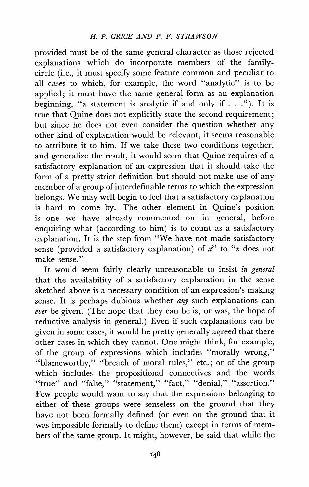provided must be of the same general character as those rejected explanations which do incorporate members of the familycircle (i.e., it must specify some feature common and peculiar to all cases to which, for example, the word "analytic" is to be applied; it must have the same general form as an explanation beginning, "a statement is analytic if and only if  $\ldots$ "). It is true that Ouine does not explicitly state the second requirement; but since he does not even consider the question whether any other kind of explanation would be relevant, it seems reasonable to attribute it to him. If we take these two conditions together, and generalize the result, it would seem that Quine requires of a satisfactory explanation of an expression that it should take the form of a pretty strict definition but should not make use of any member of a group of interdefinable terms to which the expression belongs. We may well begin to feel that a satisfactory explanation is hard to come by. The other element in Quine's position is one we have already commented on in general, before enquiring what (according to him) is to count as a satisfactory explanation. It is the step from "We have not made satisfactory **make sense."**  It would a sausiactory explanation, or  $\lambda$  to  $\lambda$  does not make sense."<br>It would seem fairly clearly unreasonable to insist *in general* 

that the availability of a satisfactory explanation in the sense sketched above is a necessary condition of an expression's making sense. It is perhaps dubious whether *any* such explanations can *ever* be given. (The hope that they can be is, or was, the hope of reductive analysis in general.) Even if such explanations can be given in some cases, it would be pretty generally agreed that there other cases in which they cannot. One might think, for example, of the group of expressions which includes "morally wrong," "blameworthy," "breach of moral rules," etc.; or of the group which includes the propositional connectives and the words "true" and "false," "statement," "fact," "denial," "assertion." Few people would want to say that the expressions belonging to either of these groups were senseless on the ground that they have not been formally defined (or even on the ground that it was impossible formally to define them) except in terms of members of the same group. It might, however, be said that while the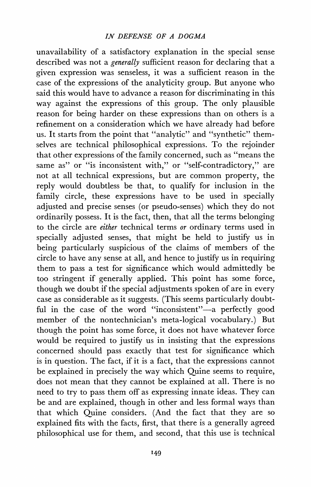unavailability of a satisfactory explanation in the special sense described was not a *generally* sufficient reason for declaring that a given expression was senseless, it was a sufficient reason in the case of the expressions of the analyticity group. But anyone who said this would have to advance a reason for discriminating in this way against the expressions of this group. The only plausible reason for being harder on these expressions than on others is a refinement on a consideration which we have already had before us. It starts from the point that "analytic" and "synthetic" themselves are technical philosophical expressions. To the rejoinder that other expressions of the family concerned, such as "means the same as" or "is inconsistent with," or "self-contradictory," are not at all technical expressions, but are common property, the reply would doubtless be that, to qualify for inclusion in the family circle, these expressions have to be used in specially adjusted and precise senses (or pseudo-senses) which they do not ordinarily possess. It is the fact, then, that all the terms belonging to the circle are *either* technical terms *or* ordinary terms used in specially adjusted senses, that might be held to justify us in being particularly suspicious of the claims of members of the circle to have any sense at all, and hence to justify us in requiring them to pass a test for significance which would admittedly be too stringent if generally applied. This point has some force, though we doubt if the special adjustments spoken of are in every case as considerable as it suggests. (This seems particularly doubtful in the case of the word "inconsistent"-a perfectly good member of the nontechnician's meta-logical vocabulary.) But though the point has some force, it does not have whatever force would be required to justify us in insisting that the expressions concerned should pass exactly that test for significance which is in question. The fact, if it is a fact, that the expressions cannot be explained in precisely the way which Quine seems to require, does not mean that they cannot be explained at all. There is no heed to try to pass them off as expressing innate ideas. They can be and are explained, though in other and less formal ways than that which Ouine considers. (And the fact that they are so explained fits with the facts, first, that there is a generally agreed philosophical use for them, and second, that this use is technical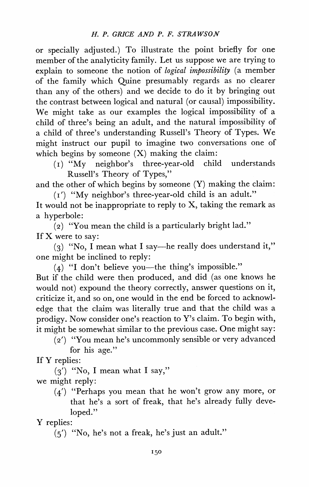or specially adjusted.) To illustrate the point briefly for one member of the analyticity family. Let us suppose we are trying to explain to someone the notion of *logical impossibility* (a member of the family which Quine presumably regards as no clearer than any of the others) and we decide to do it by bringing out the contrast between logical and natural (or causal) impossibility. We might take as our examples the logical impossibility of a child of three's being an adult, and the natural impossibility of a child of three's understanding Russell's Theory of Types. We might instruct our pupil to imagine two conversations one of which begins by someone (X) making the claim:

 $\mu$  i)  $\mu$   $\mathbf{W}$  neighbor's three-year-old "My neighbor's three-year-old child understands Russell's Theory of Types,"

and the other of which begins by someone (Y) making the claim: (I') "My neighbor's three-year-old child is an adult."

**a hyperbole:**  fuld not be mappropriate to repry to 2x, taking the ren

 $\frac{1}{2}$   $\frac{1}{2}$   $\frac{1}{2}$   $\frac{1}{2}$   $\frac{1}{2}$   $\frac{1}{2}$   $\frac{1}{2}$   $\frac{1}{2}$   $\frac{1}{2}$   $\frac{1}{2}$   $\frac{1}{2}$   $\frac{1}{2}$   $\frac{1}{2}$   $\frac{1}{2}$   $\frac{1}{2}$   $\frac{1}{2}$   $\frac{1}{2}$   $\frac{1}{2}$   $\frac{1}{2}$   $\frac{1}{2}$   $\frac{1}{2}$   $\frac{1}{2}$   $(2)$  **T** for incall the efficiency is a particularly dright late.

If X were to say:<br>(3) "No, I mean what I say—he really does understand it," one might be inclined to reply:

 $(4)$  "I don't believe you—the thing's impossible."

But if the child were then produced, and did (as one knows he would not) expound the theory correctly, answer questions on it, criticize it, and so on, one would in the end be forced to acknowledge that the claim was literally true and that the child was a prodigy. Now consider one's reaction to Y's claim. To begin with, it might be somewhat similar to the previous case. One might say:

*format*  $\begin{pmatrix} 2 & 1 \\ 1 & 2 \end{pmatrix}$ for his age."<br>If Y replies:

*we define*:  $\frac{1}{2}$  $(3)$  **Propriet mean what I** say,

we might reply:<br>(4') "Perhaps you mean that he won't grow any more, or that he's a sort of freak, that he's already fully deve-**Y replies: (5') "No, he's not a freak, he's just an adult."** 

(5<sup>'</sup>) "No, he's not a freak, he's just an adult."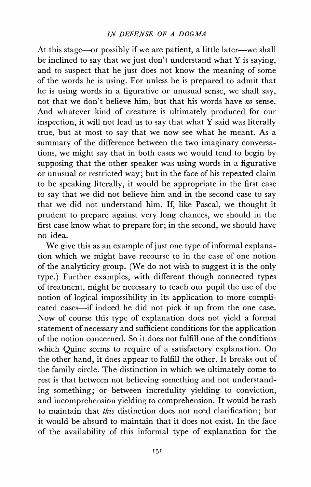At this stage—or possibly if we are patient, a little later—we shall be inclined to say that we just don't understand what Y is saying, and to suspect that he just does not know the meaning of some of the words he is using. For unless he is prepared to admit that he is using words in a figurative or unusual sense, we shall say, not that we don't believe him, but that his words have *no* sense. And whatever kind of creature is ultimately produced for our inspection, it will not lead us to say that what Y said was literally true, but at most to say that we now see what he meant. As a summary of the difference between the two imaginary conversations, we might say that in both cases we would tend to begin by supposing that the other speaker was using words in a figurative or unusual or restricted way; but in the face of his repeated claim to be speaking literally, it would be appropriate in the first case to say that we did not believe him and in the second case to say that we did not understand him. If, like Pascal, we thought it prudent to prepare against very long chances, we should in the first case know what to prepare for; in the second, we should have **We give the set of informal explanation** of  $\mathbf{A}$ 

We give this as an example of just one type of informal explanation which we might have recourse to in the case of one notion of the analyticity group. (We do not wish to suggest it is the only type.) Further examples, with different though connected types of treatment, might be necessary to teach our pupil the use of the notion of logical impossibility in its application to more complicated cases—if indeed he did not pick it up from the one case. Now of course this type of explanation does not yield a formal statement of necessary and sufficient conditions for the application of the notion concerned. So it does not fulfill one of the conditions which Quine seems to require of a satisfactory explanation. On the other hand, it does appear to fulfill the other. It breaks out of the family circle. The distinction in which we ultimately come to rest is that between not believing something and not understanding something; or between incredulity yielding to conviction, and incomprehension yielding to comprehension. It would be rash to maintain that *this* distinction does not need clarification; but it would be absurd to maintain that it does not exist. In the face of the availability of this informal type of explanation for the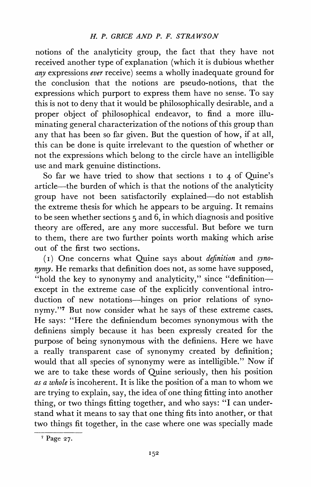## **H. P. GRICE AND P. F. STRAWSON**

notions of the analyticity group, the fact that they have not received another type of explanation (which it is dubious whether *the concessions ever* receive) seems a wholly inadequate ground for the conclusion that the notions are pseudo-notions, that the expressions which purport to express them have no sense. To say this is not to deny that it would be philosophically desirable, and a proper object of philosophical endeavor, to find a more illuminating general characterization of the notions of this group than any that has been so far given. But the question of how, if at all, this can be done is quite irrelevant to the question of whether or not the expressions which belong to the circle have an intelligible **use and mark genuine distinctions.** 

So far we have tried to show that sections 1 to 4 of Quine's article—the burden of which is that the notions of the analyticity group have not been satisfactorily explained-do not establish the extreme thesis for which he appears to be arguing. It remains to be seen whether sections  $\frac{1}{2}$  and  $\frac{1}{2}$ , in which diagnosis and positive theory are offered, are any more successful. But before we turn to them, there are two further points worth making which arise out of the first two sections.

(1) One concerns what Quine says about *definition* and *synonymy*. He remarks that definition does not, as some have supposed, "hold the key to synonymy and analyticity," since "definitionexcept in the extreme case of the explicitly conventional introduction of new notations-hinges on prior relations of synonymy."<sup>7</sup> But now consider what he says of these extreme cases. He says: "Here the definiendum becomes synonymous with the definiens simply because it has been expressly created for the purpose of being synonymous with the definiens. Here we have a really transparent case of synonymy created by definition; would that all species of synonymy were as intelligible." Now if we are to take these words of Quine seriously, then his position as a whole is incoherent. It is like the position of a man to whom we are trying to explain, say, the idea of one thing fitting into another thing, or two things fitting together, and who says: "I can understand what it means to say that one thing fits into another, or that two things fit together, in the case where one was specially made

 $7$  Page 27.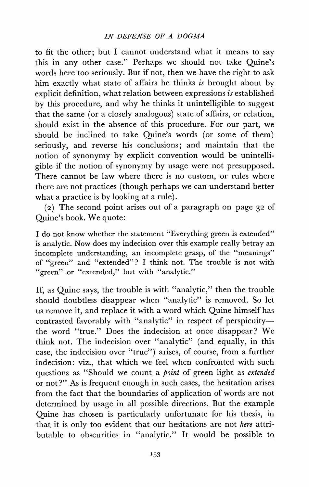to fit the other; but I cannot understand what it means to say this in any other case." Perhaps we should not take Quine's words here too seriously. But if not, then we have the right to ask him exactly what state of affairs he thinks *is* brought about by explicit definition, what relation between expressions *is* established by this procedure, and why he thinks it unintelligible to suggest that the same (or a closely analogous) state of affairs, or relation, should exist in the absence of this procedure. For our part, we should be inclined to take Ouine's words (or some of them) seriously, and reverse his conclusions; and maintain that the notion of synonymy by explicit convention would be unintelligible if the notion of synonymy by usage were not presupposed. There cannot be law where there is no custom, or rules where there are not practices (though perhaps we can understand better what a practice is by looking at a rule).

(2) The second point arises out of a paragraph on page 32 of **Ouine's book. We quote:** 

**is analytic. Now does my indecision over this example really betray an i** do not know whether the statement everything green is extended is analytic. Now does my indecision over this example really betray an incomplete understanding, an incomplete grasp, of the "meanings" of "green" and "extended"? I think not. The trouble is not with "green" or "extended," but with "analytic."

If, as Quine says, the trouble is with "analytic," then the trouble should doubtless disappear when "analytic" is removed. So let us remove it, and replace it with a word which Quine himself has contrasted favorably with "analytic" in respect of perspicuitythe word "true." Does the indecision at once disappear? We think not. The indecision over "analytic" (and equally, in this case, the indecision over "true") arises, of course, from a further indecision: viz., that which we feel when confronted with such questions as "Should we count a *point* of green light as *extended* or not?" As is frequent enough in such cases, the hesitation arises from the fact that the boundaries of application of words are not determined by usage in all possible directions. But the example Quine has chosen is particularly unfortunate for his thesis, in that it is only too evident that our hesitations are not *here* attributable to obscurities in "analytic." It would be possible to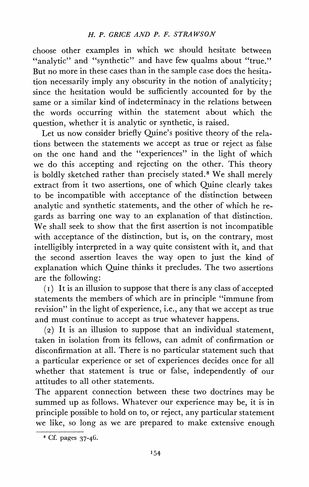choose other examples in which we should hesitate between "analytic" and "synthetic" and have few qualms about "true." But no more in these cases than in the sample case does the hesitation necessarily imply any obscurity in the notion of analyticity: since the hesitation would be sufficiently accounted for by the same or a similar kind of indeterminacy in the relations between the words occurring within the statement about which the question, whether it is analytic or synthetic, is raised.

Let us now consider briefly Quine's positive theory of the relations between the statements we accept as true or reject as false on the one hand and the "experiences" in the light of which we do this accepting and rejecting on the other. This theory is boldly sketched rather than precisely stated.<sup>8</sup> We shall merely extract from it two assertions, one of which Quine clearly takes to be incompatible with acceptance of the distinction between analytic and synthetic statements, and the other of which he regards as barring one way to an explanation of that distinction. We shall seek to show that the first assertion is not incompatible with acceptance of the distinction, but is, on the contrary, most intelligibly interpreted in a way quite consistent with it, and that the second assertion leaves the way open to just the kind of **are the following:**  planation which gaine thinks it precides. The two assertions are the following:<br>(1) It is an illusion to suppose that there is any class of accepted

statements the members of which are in principle "immune from revision" in the light of experience, i.e., any that we accept as true and must continue to accept as true whatever happens.

 $\alpha$ ) It is an illusion to suppose that an individual statement. taken in isolation from its fellows, can admit of confirmation or disconfirmation at all. There is no particular statement such that a particular experience or set of experiences decides once for all whether that statement is true or false, independently of our attitudes to all other statements.

The apparent connection between these two doctrines may be summed up as follows. Whatever our experience may be, it is in principle possible to hold on to, or reject, any particular statement we like, so long as we are prepared to make extensive enough

<sup>&</sup>lt;sup>8</sup> Cf. pages 37-46.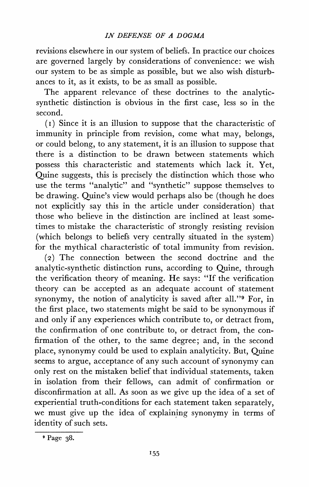revisions elsewhere in our system of beliefs. In practice our choices are governed largely by considerations of convenience: we wish our system to be as simple as possible, but we also wish disturbances to it, as it exists, to be as small as possible.

The apparent relevance of these doctrines to the analytic**second.**  (i) Since the interest to suppose the the three case, i.es so in the **immunity in principle from reviews** in propose that the characteristic of  $\mathbf{r}$ 

immunity in principle from revision, come what may, belongs, or could belong, to any statement, it is an illusion to suppose that there is a distinction to be drawn between statements which possess this characteristic and statements which lack it. Yet. Quine suggests, this is precisely the distinction which those who use the terms "analytic" and "synthetic" suppose themselves to be drawing. Quine's view would perhaps also be (though he does not explicitly say this in the article under consideration) that those who believe in the distinction are inclined at least sometimes to mistake the characteristic of strongly resisting revision (which belongs to beliefs very centrally situated in the system) for the mythical characteristic of total immunity from revision.

(2) The connection between the second doctrine and the analytic-synthetic distinction runs, according to Quine, through the verification theory of meaning. He says: "If the verification theory can be accepted as an adequate account of statement synonymy, the notion of analyticity is saved after all."<sup>9</sup> For, in the first place, two statements might be said to be synonymous if and only if any experiences which contribute to, or detract from, the confirmation of one contribute to, or detract from, the confirmation of the other, to the same degree; and, in the second place, synonymy could be used to explain analyticity. But, Quine seems to argue, acceptance of any such account of synonymy can only rest on the mistaken belief that individual statements, taken in isolation from their fellows, can admit of confirmation or disconfirmation at all. As soon as we give up the idea of a set of experiential truth-conditions for each statement taken separately, we must give up the idea of explaining synonymy in terms of  $\mathbf{0}$  **dentity** of such sets.

 $\overline{\text{Page } 38.}$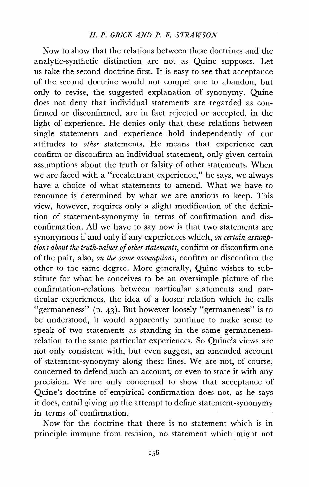Now to show that the relations between these doctrines and the analytic-synthetic distinction are not as Ouine supposes. Let us take the second doctrine first. It is easy to see that acceptance of the second doctrine would not compel one to abandon, but only to revise, the suggested explanation of synonymy. Quine does not deny that individual statements are regarded as confirmed or disconfirmed, are in fact rejected or accepted, in the light of experience. He denies only that these relations between single statements and experience hold independently of our attitudes to *other* statements. He means that experience can confirm or disconfirm an individual statement, only given certain assumptions about the truth or falsity of other statements. When we are faced with a "recalcitrant experience," he says, we always have a choice of what statements to amend. What we have to renounce is determined by what we are anxious to keep. This view, however, requires only a slight modification of the definition of statement-synonymy in terms of confirmation and disconfirmation. All we have to say now is that two statements are synonymous if and only if any experiences which, on certain assumptions about the truth-values of other statements, confirm or disconfirm one of the pair, also, *on the same assumptions*, confirm or disconfirm the other to the same degree. More generally, Quine wishes to substitute for what he conceives to be an oversimple picture of the confirmation-relations between particular statements and particular experiences, the idea of a looser relation which he calls "germaneness" (p. 43). But however loosely "germaneness" is to be understood, it would apparently continue to make sense to speak of two statements as standing in the same germanenessrelation to the same particular experiences. So Quine's views are not only consistent with, but even suggest, an amended account of statement-synonymy along these lines. We are not, of course, concerned to defend such an account, or even to state it with any precision. We are only concerned to show that acceptance of Quine's doctrine of empirical confirmation does not, as he says **Lances doctrine of chips**  $\alpha$ <sub>s</sub>, entail giving up the attempt to define statement-synonymy in terms of confirmation.<br>Now for the doctrine that there is no statement which is in

principle immune from revision, no statement which might not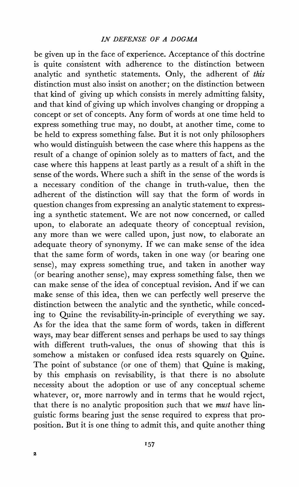**be given up in the face of experience. Acceptance of this doctrine is quite consistent with adherence to the distinction between analytic and synthetic statements. Only, the adherent of this distinction must also insist on another; on the distinction between that kind of giving up which consists in merely admitting falsity, and that kind of giving up which involves changing or dropping a concept or set of concepts. Any form of words at one time held to express something true may, no doubt, at another time, come to be held to express something false. But it is not only philosophers who would distinguish between the case where this happens as the result of a change of opinion solely as to matters of fact, and the case where this happens at least partly as a result of a shift in the sense of the words. Where such a shift in the sense of the words is a necessary condition of the change in truth-value, then the adherent of the distinction will say that the form of words in question changes from expressing an analytic statement to expressing a synthetic statement. We are not now concerned, or called upon, to elaborate an adequate theory of conceptual revision, any more than we were called upon, just now, to elaborate an adequate theory of synonymy. If we can make sense of the idea that the same form of words, taken in one way (or bearing one sense), may express something true, and taken in another way (or bearing another sense), may express something false, then we can make sense of the idea of conceptual revision. And if we can make sense of this idea, then we can perfectly well preserve the distinction between the analytic and the synthetic, while conceding to Quine the revisability-in-principle of everything we say. As for the idea that the same form of words, taken in different ways, may bear different senses and perhaps be used to say things with different truth-values, the onus of showing that this is somehow a mistaken or confused idea rests squarely on Quine. The point of substance (or one of them) that Quine is making, by this emphasis on revisability, is that there is no absolute necessity about the adoption or use of any conceptual scheme whatever, or, more narrowly and in terms that he would reject, that there is no analytic proposition such that we must have linguistic forms bearing just the sense required to express that proposition. But it is one thing to admit this, and quite another thing**